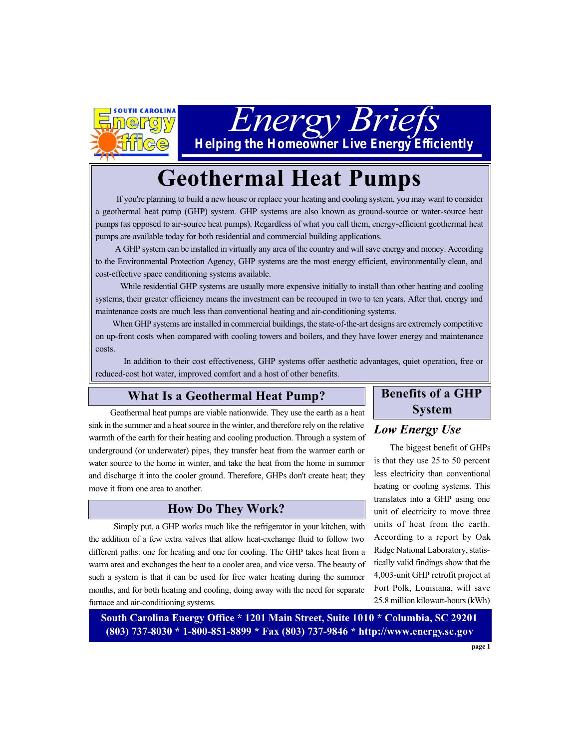

*Energy Briefs*

*Helping the Homeowner Live Energy Efficiently*

# **Geothermal Heat Pumps**

 If you're planning to build a new house or replace your heating and cooling system, you may want to consider a geothermal heat pump (GHP) system. GHP systems are also known as ground-source or water-source heat pumps (as opposed to air-source heat pumps). Regardless of what you call them, energy-efficient geothermal heat pumps are available today for both residential and commercial building applications.

 A GHP system can be installed in virtually any area of the country and will save energy and money. According to the Environmental Protection Agency, GHP systems are the most energy efficient, environmentally clean, and cost-effective space conditioning systems available.

 While residential GHP systems are usually more expensive initially to install than other heating and cooling systems, their greater efficiency means the investment can be recouped in two to ten years. After that, energy and maintenance costs are much less than conventional heating and air-conditioning systems.

 When GHP systems are installed in commercial buildings, the state-of-the-art designs are extremely competitive on up-front costs when compared with cooling towers and boilers, and they have lower energy and maintenance costs.

 In addition to their cost effectiveness, GHP systems offer aesthetic advantages, quiet operation, free or reduced-cost hot water, improved comfort and a host of other benefits.

## **What Is a Geothermal Heat Pump?**

 Geothermal heat pumps are viable nationwide. They use the earth as a heat sink in the summer and a heat source in the winter, and therefore rely on the relative warmth of the earth for their heating and cooling production. Through a system of underground (or underwater) pipes, they transfer heat from the warmer earth or water source to the home in winter, and take the heat from the home in summer and discharge it into the cooler ground. Therefore, GHPs don't create heat; they move it from one area to another.

#### **How Do They Work?**

 Simply put, a GHP works much like the refrigerator in your kitchen, with the addition of a few extra valves that allow heat-exchange fluid to follow two different paths: one for heating and one for cooling. The GHP takes heat from a warm area and exchanges the heat to a cooler area, and vice versa. The beauty of such a system is that it can be used for free water heating during the summer months, and for both heating and cooling, doing away with the need for separate furnace and air-conditioning systems.

# **Benefits of a GHP System**

# *Low Energy Use*

 The biggest benefit of GHPs is that they use 25 to 50 percent less electricity than conventional heating or cooling systems. This translates into a GHP using one unit of electricity to move three units of heat from the earth. According to a report by Oak Ridge National Laboratory, statistically valid findings show that the 4,003-unit GHP retrofit project at Fort Polk, Louisiana, will save 25.8 million kilowatt-hours (kWh)

**South Carolina Energy Office \* 1201 Main Street, Suite 1010 \* Columbia, SC 29201 (803) 737-8030 \* 1-800-851-8899 \* Fax (803) 737-9846 \* http://www.energy.sc.gov**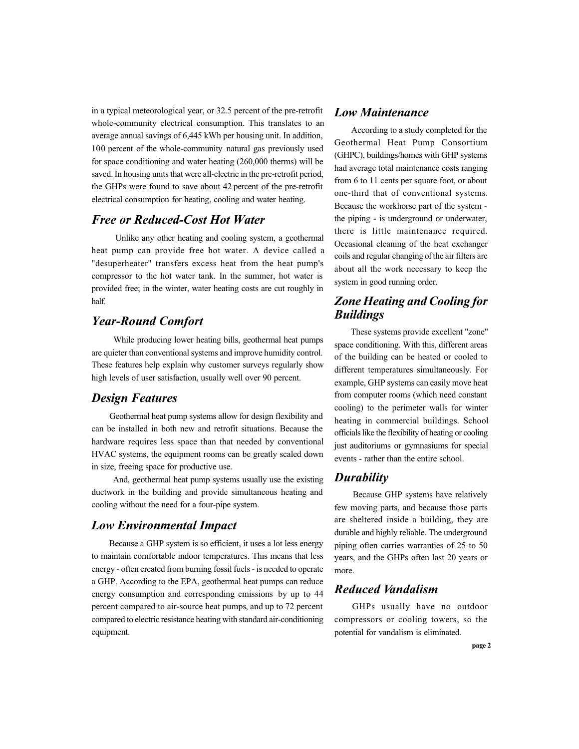in a typical meteorological year, or 32.5 percent of the pre-retrofit whole-community electrical consumption. This translates to an average annual savings of 6,445 kWh per housing unit. In addition, 100 percent of the whole-community natural gas previously used for space conditioning and water heating (260,000 therms) will be saved. In housing units that were all-electric in the pre-retrofit period, the GHPs were found to save about 42 percent of the pre-retrofit electrical consumption for heating, cooling and water heating.

#### *Free or Reduced-Cost Hot Water*

 Unlike any other heating and cooling system, a geothermal heat pump can provide free hot water. A device called a "desuperheater" transfers excess heat from the heat pump's compressor to the hot water tank. In the summer, hot water is provided free; in the winter, water heating costs are cut roughly in half.

#### *Year-Round Comfort*

 While producing lower heating bills, geothermal heat pumps are quieter than conventional systems and improve humidity control. These features help explain why customer surveys regularly show high levels of user satisfaction, usually well over 90 percent.

#### *Design Features*

Geothermal heat pump systems allow for design flexibility and can be installed in both new and retrofit situations. Because the hardware requires less space than that needed by conventional HVAC systems, the equipment rooms can be greatly scaled down in size, freeing space for productive use.

 And, geothermal heat pump systems usually use the existing ductwork in the building and provide simultaneous heating and cooling without the need for a four-pipe system.

#### *Low Environmental Impact*

 Because a GHP system is so efficient, it uses a lot less energy to maintain comfortable indoor temperatures. This means that less energy - often created from burning fossil fuels - is needed to operate a GHP. According to the EPA, geothermal heat pumps can reduce energy consumption and corresponding emissions by up to 44 percent compared to air-source heat pumps, and up to 72 percent compared to electric resistance heating with standard air-conditioning equipment.

#### *Low Maintenance*

 According to a study completed for the Geothermal Heat Pump Consortium (GHPC), buildings/homes with GHP systems had average total maintenance costs ranging from 6 to 11 cents per square foot, or about one-third that of conventional systems. Because the workhorse part of the system the piping - is underground or underwater, there is little maintenance required. Occasional cleaning of the heat exchanger coils and regular changing of the air filters are about all the work necessary to keep the system in good running order.

# *Zone Heating and Cooling for Buildings*

 These systems provide excellent "zone" space conditioning. With this, different areas of the building can be heated or cooled to different temperatures simultaneously. For example, GHP systems can easily move heat from computer rooms (which need constant cooling) to the perimeter walls for winter heating in commercial buildings. School officials like the flexibility of heating or cooling just auditoriums or gymnasiums for special events - rather than the entire school.

#### *Durability*

Because GHP systems have relatively few moving parts, and because those parts are sheltered inside a building, they are durable and highly reliable. The underground piping often carries warranties of 25 to 50 years, and the GHPs often last 20 years or more.

## *Reduced Vandalism*

GHPs usually have no outdoor compressors or cooling towers, so the potential for vandalism is eliminated.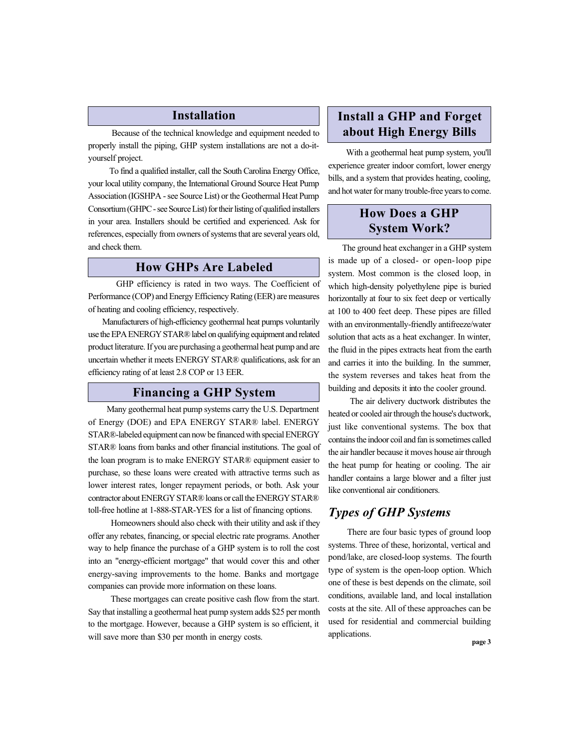#### **Installation**

 Because of the technical knowledge and equipment needed to properly install the piping, GHP system installations are not a do-ityourself project.

To find a qualified installer, call the South Carolina Energy Office, your local utility company, the International Ground Source Heat Pump Association (IGSHPA - see Source List) or the Geothermal Heat Pump Consortium (GHPC - see Source List) for their listing of qualified installers in your area. Installers should be certified and experienced. Ask for references, especially from owners of systems that are several years old, and check them.

# **How GHPs Are Labeled**

 GHP efficiency is rated in two ways. The Coefficient of Performance (COP) and Energy Efficiency Rating (EER) are measures of heating and cooling efficiency, respectively.

 Manufacturers of high-efficiency geothermal heat pumps voluntarily use the EPA ENERGY STAR® label on qualifying equipment and related product literature. If you are purchasing a geothermal heat pump and are uncertain whether it meets ENERGY STAR® qualifications, ask for an efficiency rating of at least 2.8 COP or 13 EER.

# **Financing a GHP System**

 Many geothermal heat pump systems carry the U.S. Department of Energy (DOE) and EPA ENERGY STAR® label. ENERGY STAR®-labeled equipment can now be financed with special ENERGY STAR® loans from banks and other financial institutions. The goal of the loan program is to make ENERGY STAR® equipment easier to purchase, so these loans were created with attractive terms such as lower interest rates, longer repayment periods, or both. Ask your contractor about ENERGY STAR® loans or call the ENERGY STAR® toll-free hotline at 1-888-STAR-YES for a list of financing options.

 Homeowners should also check with their utility and ask if they offer any rebates, financing, or special electric rate programs. Another way to help finance the purchase of a GHP system is to roll the cost into an "energy-efficient mortgage" that would cover this and other energy-saving improvements to the home. Banks and mortgage companies can provide more information on these loans.

 These mortgages can create positive cash flow from the start. Say that installing a geothermal heat pump system adds \$25 per month to the mortgage. However, because a GHP system is so efficient, it will save more than \$30 per month in energy costs.

# **Install a GHP and Forget about High Energy Bills**

 With a geothermal heat pump system, you'll experience greater indoor comfort, lower energy bills, and a system that provides heating, cooling, and hot water for many trouble-free years to come.

# **How Does a GHP System Work?**

The ground heat exchanger in a GHP system is made up of a closed- or open-loop pipe system. Most common is the closed loop, in which high-density polyethylene pipe is buried horizontally at four to six feet deep or vertically at 100 to 400 feet deep. These pipes are filled with an environmentally-friendly antifreeze/water solution that acts as a heat exchanger. In winter, the fluid in the pipes extracts heat from the earth and carries it into the building. In the summer, the system reverses and takes heat from the building and deposits it into the cooler ground.

The air delivery ductwork distributes the heated or cooled air through the house's ductwork, just like conventional systems. The box that contains the indoor coil and fan is sometimes called the air handler because it moves house air through the heat pump for heating or cooling. The air handler contains a large blower and a filter just like conventional air conditioners.

# *Types of GHP Systems*

There are four basic types of ground loop systems. Three of these, horizontal, vertical and pond/lake, are closed-loop systems. The fourth type of system is the open-loop option. Which one of these is best depends on the climate, soil conditions, available land, and local installation costs at the site. All of these approaches can be used for residential and commercial building applications.

**page 3**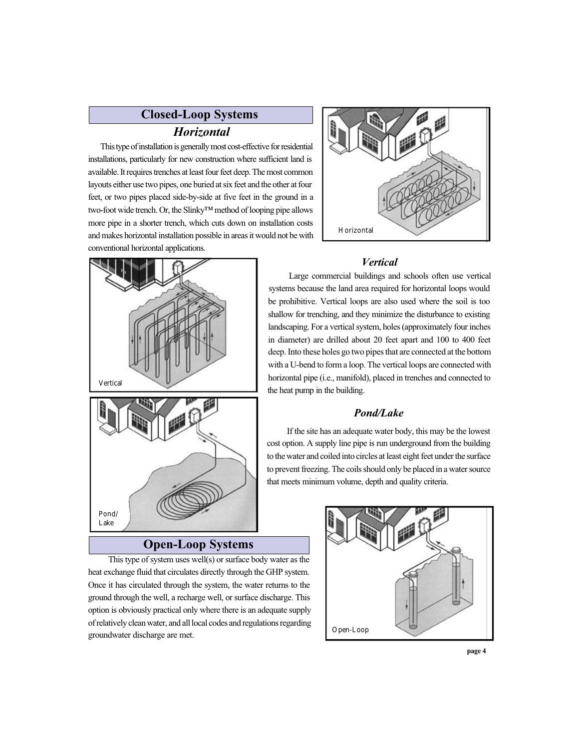# **Closed-Loop Systems**

#### *Horizontal*

This type of installation is generally most cost-effective for residential installations, particularly for new construction where sufficient land is available. It requires trenches at least four feet deep. The most common layouts either use two pipes, one buried at six feet and the other at four feet, or two pipes placed side-by-side at five feet in the ground in a two-foot wide trench. Or, the Slinky™ method of looping pipe allows more pipe in a shorter trench, which cuts down on installation costs and makes horizontal installation possible in areas it would not be with conventional horizontal applications.



#### *Vertical*

 Large commercial buildings and schools often use vertical systems because the land area required for horizontal loops would be prohibitive. Vertical loops are also used where the soil is too shallow for trenching, and they minimize the disturbance to existing landscaping. For a vertical system, holes (approximately four inches in diameter) are drilled about 20 feet apart and 100 to 400 feet deep. Into these holes go two pipes that are connected at the bottom with a U-bend to form a loop. The vertical loops are connected with horizontal pipe (i.e., manifold), placed in trenches and connected to the heat pump in the building.

#### *Pond/Lake*

 If the site has an adequate water body, this may be the lowest cost option. A supply line pipe is run underground from the building to the water and coiled into circles at least eight feet under the surface to prevent freezing. The coils should only be placed in a water source that meets minimum volume, depth and quality criteria.

# Pond/ Lake

Vertical

## **Open-Loop Systems**

 This type of system uses well(s) or surface body water as the heat exchange fluid that circulates directly through the GHP system. Once it has circulated through the system, the water returns to the ground through the well, a recharge well, or surface discharge. This option is obviously practical only where there is an adequate supply of relatively clean water, and all local codes and regulations regarding groundwater discharge are met.



**page 4**